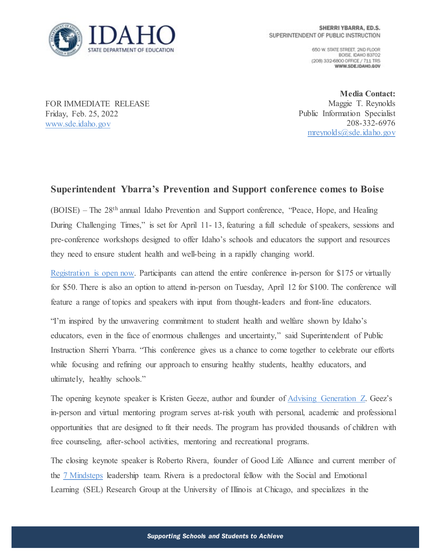

650 W. STATE STREET, 2ND FLOOR BOISE IDAHO 83702 (208) 332-6800 OFFICE / 711 TRS WWW.SDE.IDAHO.GOV

FOR IMMEDIATE RELEASE Friday, Feb. 25, 2022 [www.sde.idaho.gov](http://www.sde.idaho.gov/)

**Media Contact:**  Maggie T. Reynolds Public Information Specialist 208-332-6976 [mreynolds@sde.idaho.gov](mailto:mreynolds@sde.idaho.gov)

## **Superintendent Ybarra's Prevention and Support conference comes to Boise**

(BOISE) – The 28th annual Idaho Prevention and Support conference, "Peace, Hope, and Healing During Challenging Times," is set for April 11- 13, featuring a full schedule of speakers, sessions and pre-conference workshops designed to offer Idaho's schools and educators the support and resources they need to ensure student health and well-being in a rapidly changing world.

Registration [is open now.](https://whova.com/portal/registration/preve_202204/) Participants can attend the entire conference in-person for \$175 or virtually for \$50. There is also an option to attend in-person on Tuesday, April 12 for \$100. The conference will feature a range of topics and speakers with input from thought-leaders and front-line educators.

"I'm inspired by the unwavering commitment to student health and welfare shown by Idaho's educators, even in the face of enormous challenges and uncertainty," said Superintendent of Public Instruction Sherri Ybarra. "This conference gives us a chance to come together to celebrate our efforts while focusing and refining our approach to ensuring healthy students, healthy educators, and ultimately, healthy schools."

The opening keynote speaker is Kristen Geeze, author and founder of [Advising Generation Z.](https://www.advisinggenerationz.com/) Geez's in-person and virtual mentoring program serves at-risk youth with personal, academic and professional opportunities that are designed to fit their needs. The program has provided thousands of children with free counseling, after-school activities, mentoring and recreational programs.

The closing keynote speaker is Roberto Rivera, founder of Good Life Alliance and current member of the [7 Mindsteps](https://7mindsets.com/) leadership team. Rivera is a predoctoral fellow with the Social and Emotional Learning (SEL) Research Group at the University of Illinois at Chicago, and specializes in the